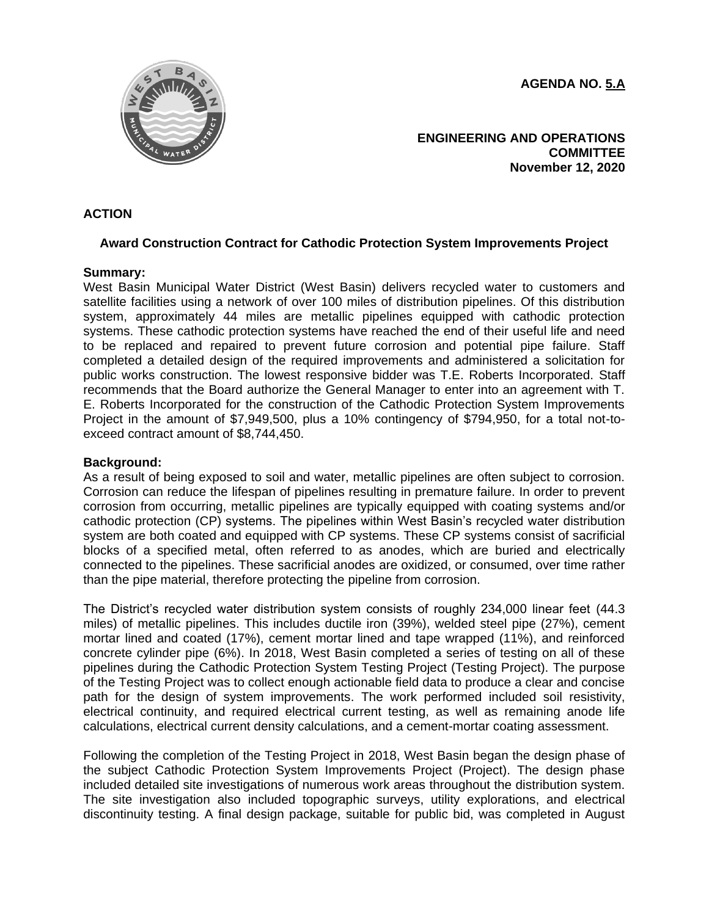**AGENDA NO. 5.A**



**ENGINEERING AND OPERATIONS COMMITTEE November 12, 2020**

# **ACTION**

# **Award Construction Contract for Cathodic Protection System Improvements Project**

## **Summary:**

West Basin Municipal Water District (West Basin) delivers recycled water to customers and satellite facilities using a network of over 100 miles of distribution pipelines. Of this distribution system, approximately 44 miles are metallic pipelines equipped with cathodic protection systems. These cathodic protection systems have reached the end of their useful life and need to be replaced and repaired to prevent future corrosion and potential pipe failure. Staff completed a detailed design of the required improvements and administered a solicitation for public works construction. The lowest responsive bidder was T.E. Roberts Incorporated. Staff recommends that the Board authorize the General Manager to enter into an agreement with T. E. Roberts Incorporated for the construction of the Cathodic Protection System Improvements Project in the amount of \$7,949,500, plus a 10% contingency of \$794,950, for a total not-toexceed contract amount of \$8,744,450.

## **Background:**

As a result of being exposed to soil and water, metallic pipelines are often subject to corrosion. Corrosion can reduce the lifespan of pipelines resulting in premature failure. In order to prevent corrosion from occurring, metallic pipelines are typically equipped with coating systems and/or cathodic protection (CP) systems. The pipelines within West Basin's recycled water distribution system are both coated and equipped with CP systems. These CP systems consist of sacrificial blocks of a specified metal, often referred to as anodes, which are buried and electrically connected to the pipelines. These sacrificial anodes are oxidized, or consumed, over time rather than the pipe material, therefore protecting the pipeline from corrosion.

The District's recycled water distribution system consists of roughly 234,000 linear feet (44.3 miles) of metallic pipelines. This includes ductile iron (39%), welded steel pipe (27%), cement mortar lined and coated (17%), cement mortar lined and tape wrapped (11%), and reinforced concrete cylinder pipe (6%). In 2018, West Basin completed a series of testing on all of these pipelines during the Cathodic Protection System Testing Project (Testing Project). The purpose of the Testing Project was to collect enough actionable field data to produce a clear and concise path for the design of system improvements. The work performed included soil resistivity, electrical continuity, and required electrical current testing, as well as remaining anode life calculations, electrical current density calculations, and a cement-mortar coating assessment.

Following the completion of the Testing Project in 2018, West Basin began the design phase of the subject Cathodic Protection System Improvements Project (Project). The design phase included detailed site investigations of numerous work areas throughout the distribution system. The site investigation also included topographic surveys, utility explorations, and electrical discontinuity testing. A final design package, suitable for public bid, was completed in August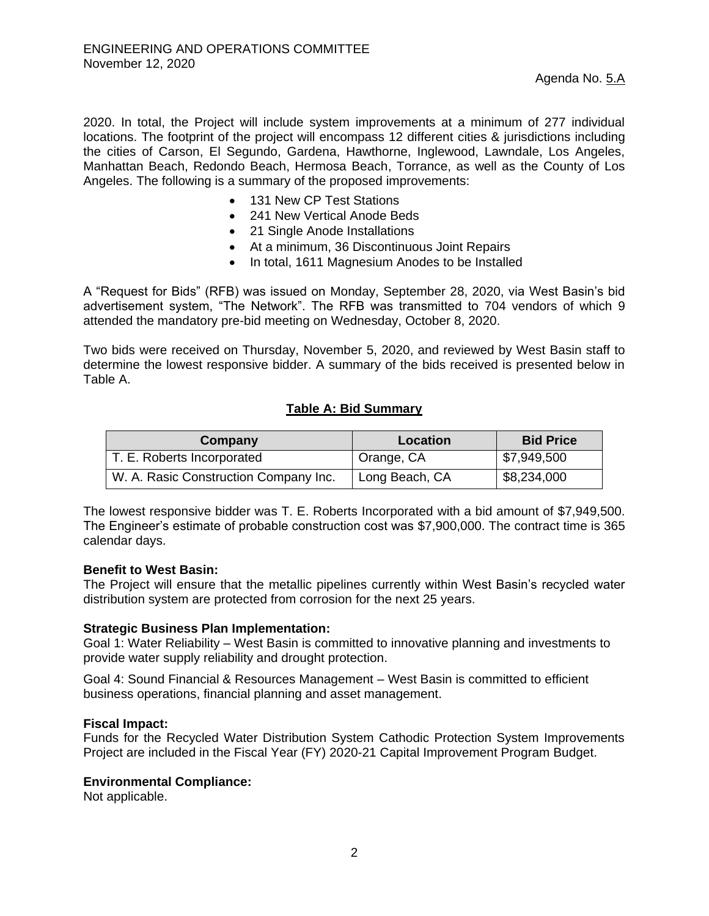2020. In total, the Project will include system improvements at a minimum of 277 individual locations. The footprint of the project will encompass 12 different cities & jurisdictions including the cities of Carson, El Segundo, Gardena, Hawthorne, Inglewood, Lawndale, Los Angeles, Manhattan Beach, Redondo Beach, Hermosa Beach, Torrance, as well as the County of Los Angeles. The following is a summary of the proposed improvements:

- 131 New CP Test Stations
- 241 New Vertical Anode Beds
- 21 Single Anode Installations
- At a minimum, 36 Discontinuous Joint Repairs
- In total, 1611 Magnesium Anodes to be Installed

A "Request for Bids" (RFB) was issued on Monday, September 28, 2020, via West Basin's bid advertisement system, "The Network". The RFB was transmitted to 704 vendors of which 9 attended the mandatory pre-bid meeting on Wednesday, October 8, 2020.

Two bids were received on Thursday, November 5, 2020, and reviewed by West Basin staff to determine the lowest responsive bidder. A summary of the bids received is presented below in Table A.

# **Table A: Bid Summary**

| Company                               | Location                | <b>Bid Price</b> |
|---------------------------------------|-------------------------|------------------|
| T. E. Roberts Incorporated            | <sup>1</sup> Orange, CA | \$7,949,500      |
| W. A. Rasic Construction Company Inc. | Long Beach, CA          | \$8,234,000      |

The lowest responsive bidder was T. E. Roberts Incorporated with a bid amount of \$7,949,500. The Engineer's estimate of probable construction cost was \$7,900,000. The contract time is 365 calendar days.

## **Benefit to West Basin:**

The Project will ensure that the metallic pipelines currently within West Basin's recycled water distribution system are protected from corrosion for the next 25 years.

## **Strategic Business Plan Implementation:**

Goal 1: Water Reliability – West Basin is committed to innovative planning and investments to provide water supply reliability and drought protection.

Goal 4: Sound Financial & Resources Management – West Basin is committed to efficient business operations, financial planning and asset management.

## **Fiscal Impact:**

Funds for the Recycled Water Distribution System Cathodic Protection System Improvements Project are included in the Fiscal Year (FY) 2020-21 Capital Improvement Program Budget.

## **Environmental Compliance:**

Not applicable.